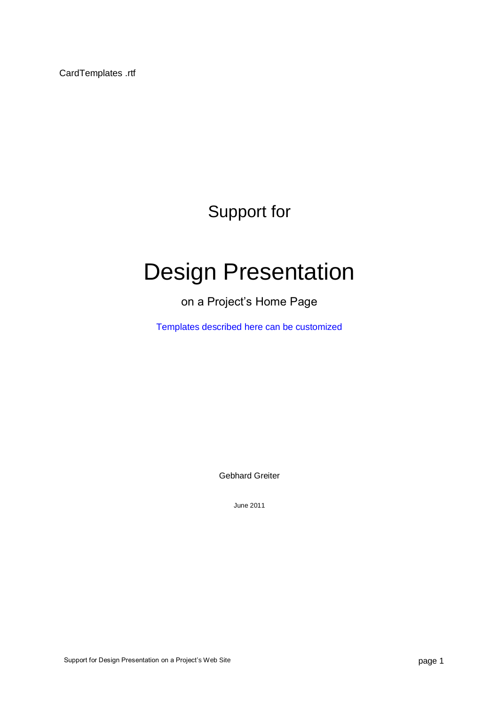CardTemplates .rtf

Support for

# Design Presentation

# on a Project's Home Page

Templates described here can be customized

Gebhard Greiter

June 2011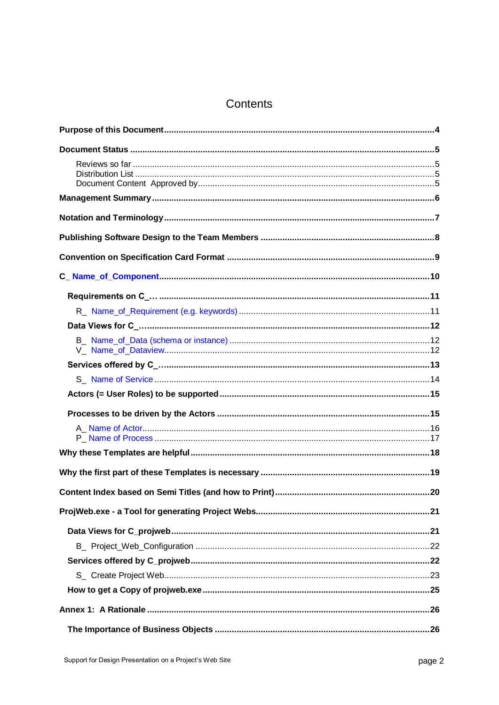# Contents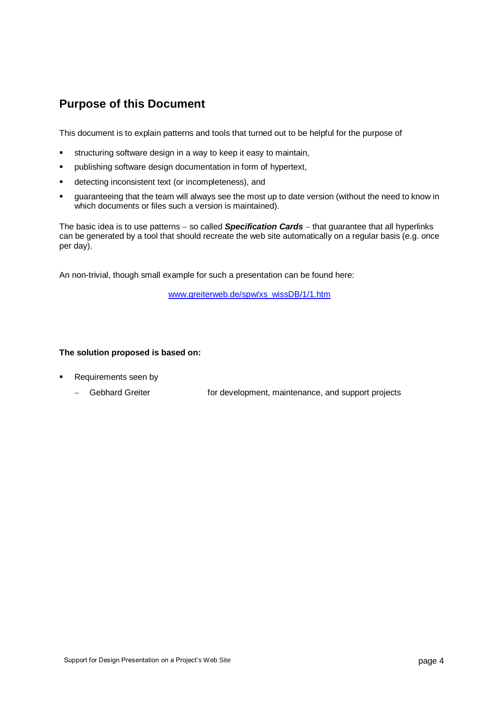# **Purpose of this Document**

This document is to explain patterns and tools that turned out to be helpful for the purpose of

- structuring software design in a way to keep it easy to maintain,
- publishing software design documentation in form of hypertext,
- detecting inconsistent text (or incompleteness), and
- guaranteeing that the team will always see the most up to date version (without the need to know in which documents or files such a version is maintained).

The basic idea is to use patterns - so called **Specification Cards** - that guarantee that all hyperlinks can be generated by a tool that should recreate the web site automatically on a regular basis (e.g. once per day).

An non-trivial, though small example for such a presentation can be found here:

[www.greiterweb.de/spw/xs\\_wissDB/1/1.htm](http://www.greiterweb.de/spw/xs_wissDB/1/1.htm)

### **The solution proposed is based on:**

- Requirements seen by
	- Gebhard Greiter **For development, maintenance, and support projects**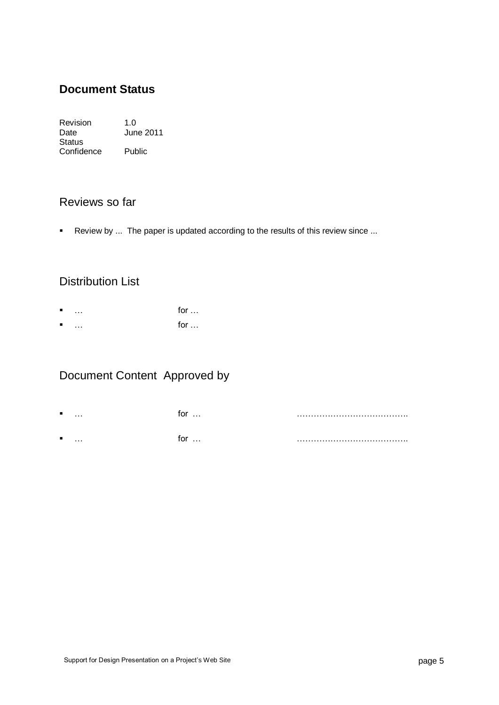# **Document Status**

Revision 1.0<br>Date Jun June 2011 Status Confidence Public

# Reviews so far

Review by ... The paper is updated according to the results of this review since ...

# Distribution List

- $\blacksquare$  … for …
- $\blacksquare$  … for …

# Document Content Approved by

- … for … ………………………………….
- … for … ………………………………….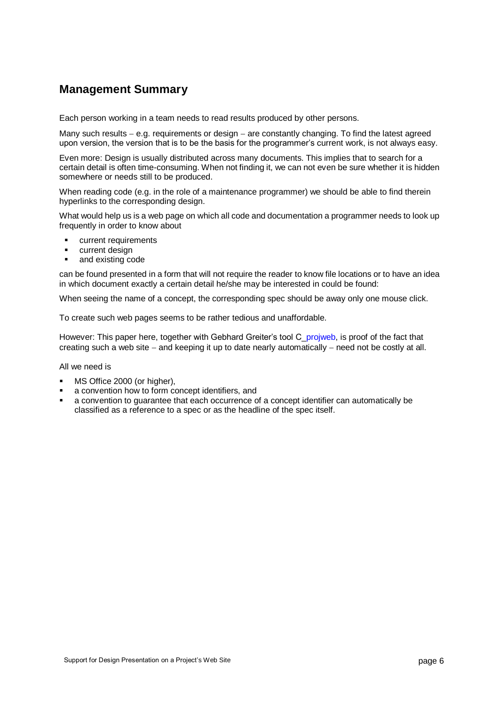# **Management Summary**

Each person working in a team needs to read results produced by other persons.

Many such results  $-$  e.g. requirements or design  $-$  are constantly changing. To find the latest agreed upon version, the version that is to be the basis for the programmer's current work, is not always easy.

Even more: Design is usually distributed across many documents. This implies that to search for a certain detail is often time-consuming. When not finding it, we can not even be sure whether it is hidden somewhere or needs still to be produced.

When reading code (e.g. in the role of a maintenance programmer) we should be able to find therein hyperlinks to the corresponding design.

What would help us is a web page on which all code and documentation a programmer needs to look up frequently in order to know about

- current requirements
- **•** current design
- and existing code

can be found presented in a form that will not require the reader to know file locations or to have an idea in which document exactly a certain detail he/she may be interested in could be found:

When seeing the name of a concept, the corresponding spec should be away only one mouse click.

To create such web pages seems to be rather tedious and unaffordable.

However: This paper here, together with Gebhard Greiter's tool C\_projweb, is proof of the fact that creating such a web site  $-$  and keeping it up to date nearly automatically  $-$  need not be costly at all.

All we need is

- MS Office 2000 (or higher),
- a convention how to form concept identifiers, and
- a convention to guarantee that each occurrence of a concept identifier can automatically be classified as a reference to a spec or as the headline of the spec itself.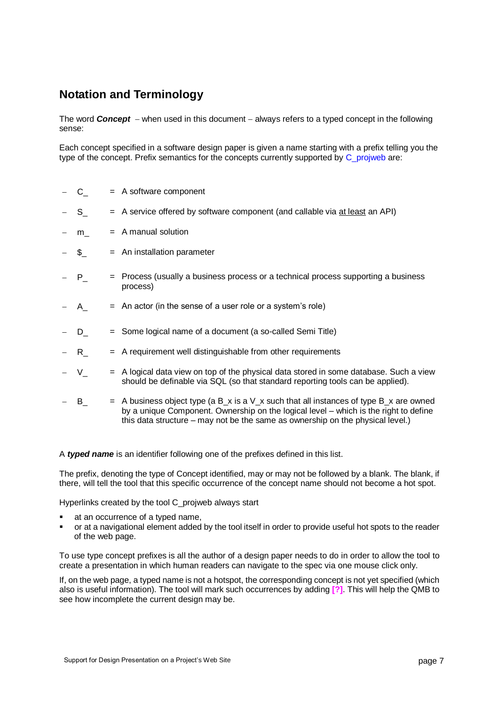# **Notation and Terminology**

The word **Concept** – when used in this document – always refers to a typed concept in the following sense:

Each concept specified in a software design paper is given a name starting with a prefix telling you the type of the concept. Prefix semantics for the concepts currently supported by C\_projweb are:

- C\_ = A software component
- S<sub>\_</sub> = A service offered by software component (and callable via at least an API)
- $m = A$  manual solution
- \$\_ = An installation parameter
- P\_ = Process (usually a business process or a technical process supporting a business process)
- $A = An$  actor (in the sense of a user role or a system's role)
- D = Some logical name of a document (a so-called Semi Title)
- $R = A$  requirement well distinguishable from other requirements
- $V = A$  logical data view on top of the physical data stored in some database. Such a view should be definable via SQL (so that standard reporting tools can be applied).
- B  $=$  A business object type (a B\_x is a V\_x such that all instances of type B\_x are owned by a unique Component. Ownership on the logical level – which is the right to define this data structure – may not be the same as ownership on the physical level.)

A *typed name* is an identifier following one of the prefixes defined in this list.

The prefix, denoting the type of Concept identified, may or may not be followed by a blank. The blank, if there, will tell the tool that this specific occurrence of the concept name should not become a hot spot.

Hyperlinks created by the tool C\_projweb always start

- at an occurrence of a typed name,
- or at a navigational element added by the tool itself in order to provide useful hot spots to the reader of the web page.

To use type concept prefixes is all the author of a design paper needs to do in order to allow the tool to create a presentation in which human readers can navigate to the spec via one mouse click only.

If, on the web page, a typed name is not a hotspot, the corresponding concept is not yet specified (which also is useful information). The tool will mark such occurrences by adding **[?]**. This will help the QMB to see how incomplete the current design may be.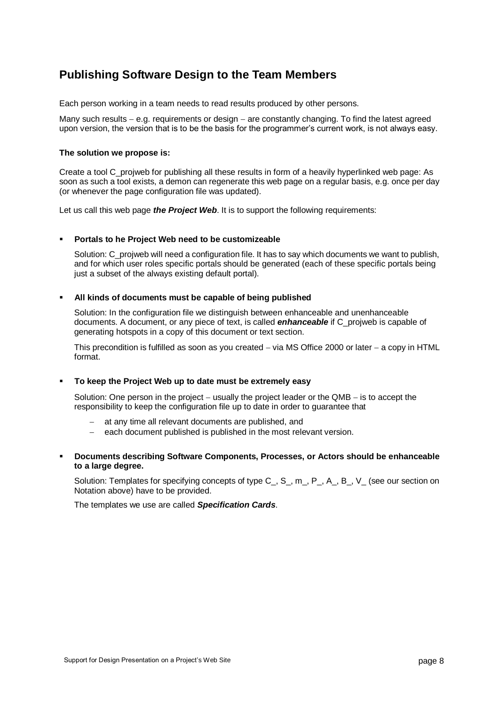# **Publishing Software Design to the Team Members**

Each person working in a team needs to read results produced by other persons.

Many such results  $-$  e.g. requirements or design  $-$  are constantly changing. To find the latest agreed upon version, the version that is to be the basis for the programmer's current work, is not always easy.

#### **The solution we propose is:**

Create a tool C\_projweb for publishing all these results in form of a heavily hyperlinked web page: As soon as such a tool exists, a demon can regenerate this web page on a regular basis, e.g. once per day (or whenever the page configuration file was updated).

Let us call this web page *the Project Web*. It is to support the following requirements:

#### **Portals to he Project Web need to be customizeable**

Solution: C\_projweb will need a configuration file. It has to say which documents we want to publish, and for which user roles specific portals should be generated (each of these specific portals being just a subset of the always existing default portal).

#### **All kinds of documents must be capable of being published**

Solution: In the configuration file we distinguish between enhanceable and unenhanceable documents. A document, or any piece of text, is called *enhanceable* if C\_projweb is capable of generating hotspots in a copy of this document or text section.

This precondition is fulfilled as soon as you created  $-$  via MS Office 2000 or later  $-$  a copy in HTML format.

#### **To keep the Project Web up to date must be extremely easy**

Solution: One person in the project  $-$  usually the project leader or the QMB  $-$  is to accept the responsibility to keep the configuration file up to date in order to guarantee that

- at any time all relevant documents are published, and
- each document published is published in the most relevant version.
- **Documents describing Software Components, Processes, or Actors should be enhanceable to a large degree.**

Solution: Templates for specifying concepts of type C\_, S\_, m\_, P\_, A\_, B\_, V\_ (see our section on Notation above) have to be provided.

The templates we use are called *Specification Cards*.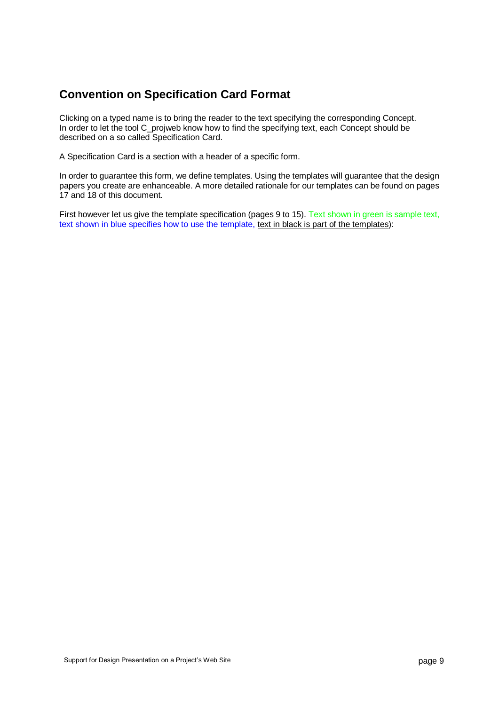# **Convention on Specification Card Format**

Clicking on a typed name is to bring the reader to the text specifying the corresponding Concept. In order to let the tool C\_projweb know how to find the specifying text, each Concept should be described on a so called Specification Card.

A Specification Card is a section with a header of a specific form.

In order to guarantee this form, we define templates. Using the templates will guarantee that the design papers you create are enhanceable. A more detailed rationale for our templates can be found on pages 17 and 18 of this document.

First however let us give the template specification (pages 9 to 15). Text shown in green is sample text, text shown in blue specifies how to use the template, text in black is part of the templates):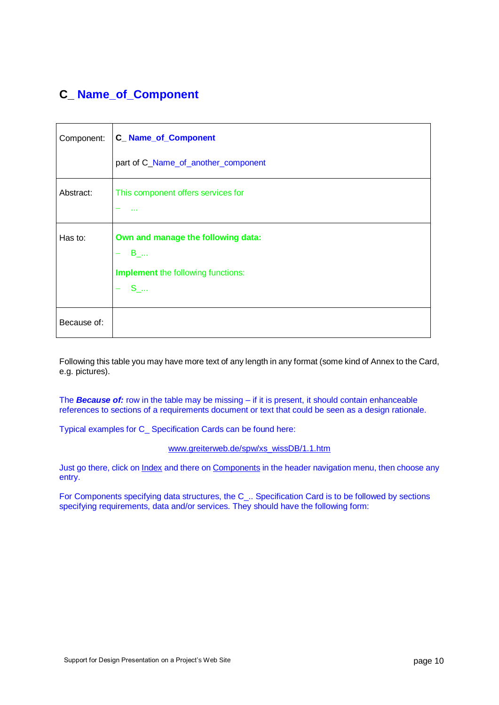# **C\_ Name\_of\_Component**

| Component:  | <b>C_Name_of_Component</b>                                                                          |  |
|-------------|-----------------------------------------------------------------------------------------------------|--|
|             | part of C_Name_of_another_component                                                                 |  |
| Abstract:   | This component offers services for                                                                  |  |
| Has to:     | Own and manage the following data:<br>$B_{}$<br><b>Implement</b> the following functions:<br>$S_{}$ |  |
| Because of: |                                                                                                     |  |

Following this table you may have more text of any length in any format (some kind of Annex to the Card, e.g. pictures).

The *Because of:* row in the table may be missing – if it is present, it should contain enhanceable references to sections of a requirements document or text that could be seen as a design rationale.

Typical examples for C\_ Specification Cards can be found here:

[www.greiterweb.de/spw/xs\\_wissDB/1.1.htm](http://greiterweb.de/spw/xs_wissDB/1.1.htm)

Just go there, click on Index and there on Components in the header navigation menu, then choose any entry.

For Components specifying data structures, the C\_.. Specification Card is to be followed by sections specifying requirements, data and/or services. They should have the following form: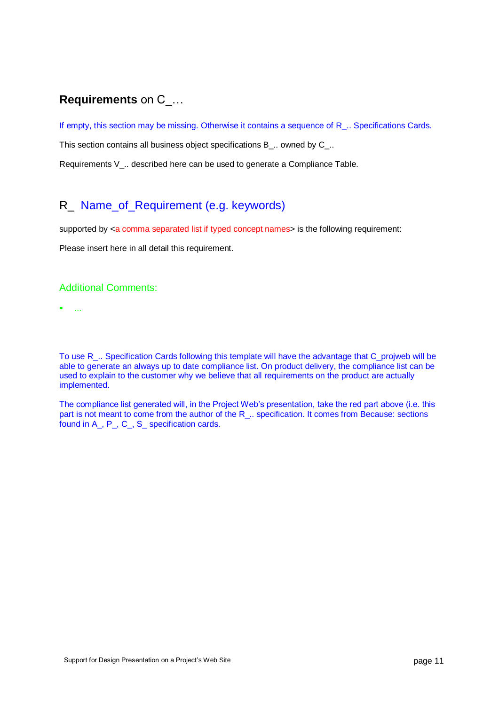# **Requirements** on C\_…

If empty, this section may be missing. Otherwise it contains a sequence of R<sub>\_.</sub>. Specifications Cards.

This section contains all business object specifications B\_.. owned by C\_..

Requirements V .. described here can be used to generate a Compliance Table.

# R\_ Name\_of\_Requirement (e.g. keywords)

supported by <a comma separated list if typed concept names> is the following requirement:

Please insert here in all detail this requirement.

### Additional Comments:

...

To use R\_.. Specification Cards following this template will have the advantage that C\_projweb will be able to generate an always up to date compliance list. On product delivery, the compliance list can be used to explain to the customer why we believe that all requirements on the product are actually implemented.

The compliance list generated will, in the Project Web's presentation, take the red part above (i.e. this part is not meant to come from the author of the R<sub>\_.</sub>. specification. It comes from Because: sections found in A\_, P\_, C\_, S\_ specification cards.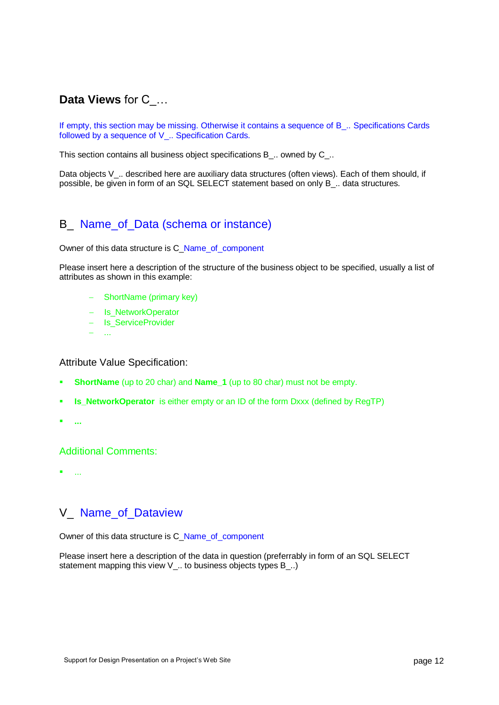# **Data Views** for C\_…

If empty, this section may be missing. Otherwise it contains a sequence of B\_.. Specifications Cards followed by a sequence of V .. Specification Cards.

This section contains all business object specifications B\_.. owned by C\_..

Data objects V\_.. described here are auxiliary data structures (often views). Each of them should, if possible, be given in form of an SQL SELECT statement based on only B\_.. data structures.

# B\_ Name\_of\_Data (schema or instance)

Owner of this data structure is C\_Name\_of\_component

Please insert here a description of the structure of the business object to be specified, usually a list of attributes as shown in this example:

- ShortName (primary key)
- Is NetworkOperator
- Is ServiceProvider
- ...

#### Attribute Value Specification:

- **ShortName** (up to 20 char) and **Name\_1** (up to 80 char) must not be empty.
- **Is NetworkOperator** is either empty or an ID of the form Dxxx (defined by RegTP)
- **...**

### Additional Comments:

...

### V\_ Name\_of\_Dataview

Owner of this data structure is C\_Name\_of\_component

Please insert here a description of the data in question (preferrably in form of an SQL SELECT statement mapping this view V .. to business objects types B ..)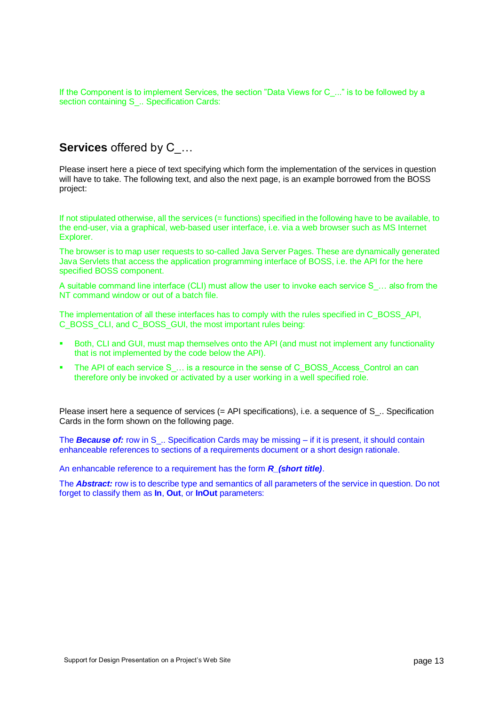If the Component is to implement Services, the section "Data Views for C\_..." is to be followed by a section containing S\_.. Specification Cards:

# **Services** offered by C\_…

Please insert here a piece of text specifying which form the implementation of the services in question will have to take. The following text, and also the next page, is an example borrowed from the BOSS project:

If not stipulated otherwise, all the services (= functions) specified in the following have to be available, to the end-user, via a graphical, web-based user interface, i.e. via a web browser such as MS Internet Explorer.

The browser is to map user requests to so-called Java Server Pages. These are dynamically generated Java Servlets that access the application programming interface of BOSS, i.e. the API for the here specified BOSS component.

A suitable command line interface (CLI) must allow the user to invoke each service S ... also from the NT command window or out of a batch file.

The implementation of all these interfaces has to comply with the rules specified in C\_BOSS\_API, C\_BOSS\_CLI, and C\_BOSS\_GUI, the most important rules being:

- Both, CLI and GUI, must map themselves onto the API (and must not implement any functionality that is not implemented by the code below the API).
- The API of each service S ... is a resource in the sense of C\_BOSS\_Access\_Control an can therefore only be invoked or activated by a user working in a well specified role.

Please insert here a sequence of services (= API specifications), i.e. a sequence of S... Specification Cards in the form shown on the following page.

The **Because of:** row in S<sub>\_</sub>.. Specification Cards may be missing – if it is present, it should contain enhanceable references to sections of a requirements document or a short design rationale.

An enhancable reference to a requirement has the form *R\_(short title)*.

The *Abstract:* row is to describe type and semantics of all parameters of the service in question. Do not forget to classify them as **In**, **Out**, or **InOut** parameters: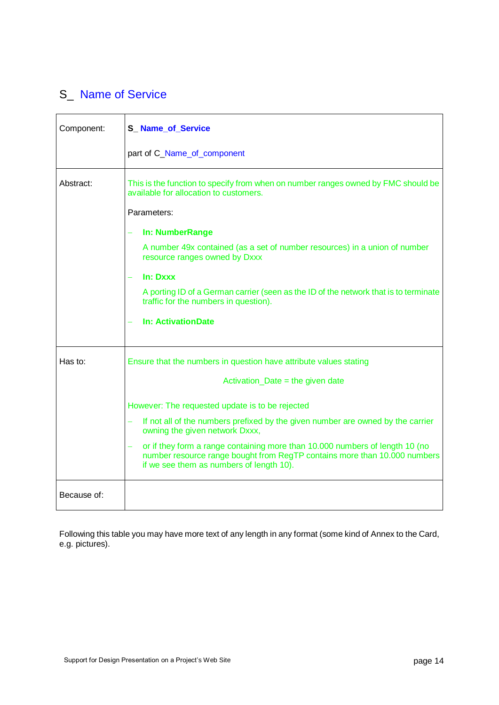# S\_ Name of Service

| Component:  | <b>S_Name_of_Service</b>                                                                                                                                                                              |
|-------------|-------------------------------------------------------------------------------------------------------------------------------------------------------------------------------------------------------|
|             | part of C_Name_of_component                                                                                                                                                                           |
| Abstract:   | This is the function to specify from when on number ranges owned by FMC should be<br>available for allocation to customers.                                                                           |
|             | Parameters:                                                                                                                                                                                           |
|             | In: NumberRange                                                                                                                                                                                       |
|             | A number 49x contained (as a set of number resources) in a union of number<br>resource ranges owned by Dxxx                                                                                           |
|             | In: Dxxx                                                                                                                                                                                              |
|             | A porting ID of a German carrier (seen as the ID of the network that is to terminate<br>traffic for the numbers in question).                                                                         |
|             | <b>In: ActivationDate</b>                                                                                                                                                                             |
| Has to:     | Ensure that the numbers in question have attribute values stating                                                                                                                                     |
|             | $Action\_Date = the given date$                                                                                                                                                                       |
|             | However: The requested update is to be rejected                                                                                                                                                       |
|             | If not all of the numbers prefixed by the given number are owned by the carrier<br>÷,<br>owning the given network Dxxx,                                                                               |
|             | or if they form a range containing more than 10.000 numbers of length 10 (no<br>number resource range bought from RegTP contains more than 10.000 numbers<br>if we see them as numbers of length 10). |
| Because of: |                                                                                                                                                                                                       |

Following this table you may have more text of any length in any format (some kind of Annex to the Card, e.g. pictures).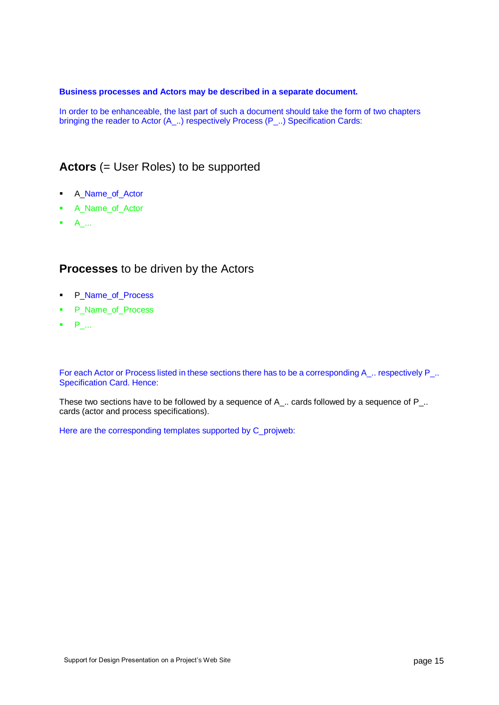#### **Business processes and Actors may be described in a separate document.**

In order to be enhanceable, the last part of such a document should take the form of two chapters bringing the reader to Actor (A\_..) respectively Process (P\_..) Specification Cards:

### **Actors** (= User Roles) to be supported

- **A\_Name\_of\_Actor**
- **A** Name of Actor
- $A$ ...

### **Processes** to be driven by the Actors

- **P\_Name\_of\_Process**
- P\_Name\_of\_Process
- $P_{\perp}$ ...

For each Actor or Process listed in these sections there has to be a corresponding A\_.. respectively P\_.. Specification Card. Hence:

These two sections have to be followed by a sequence of A\_.. cards followed by a sequence of P\_.. cards (actor and process specifications).

Here are the corresponding templates supported by C\_projweb: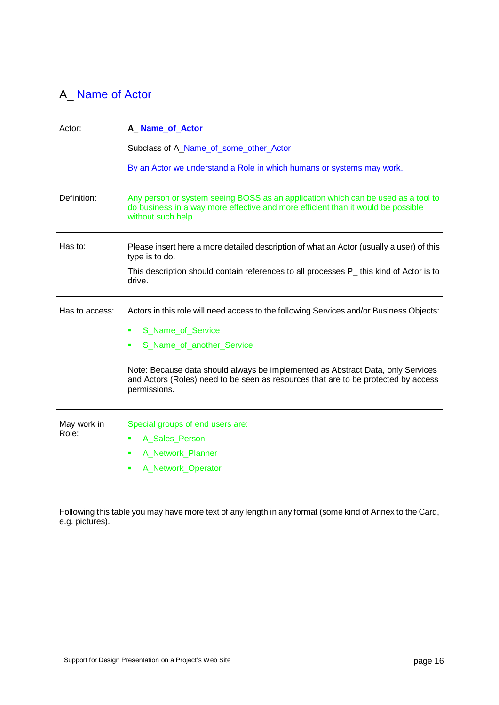# A\_ Name of Actor

| Actor:         | A_Name_of_Actor                                                                                                                                                                             |
|----------------|---------------------------------------------------------------------------------------------------------------------------------------------------------------------------------------------|
|                | Subclass of A_Name_of_some_other_Actor                                                                                                                                                      |
|                | By an Actor we understand a Role in which humans or systems may work.                                                                                                                       |
| Definition:    | Any person or system seeing BOSS as an application which can be used as a tool to<br>do business in a way more effective and more efficient than it would be possible<br>without such help. |
| Has to:        | Please insert here a more detailed description of what an Actor (usually a user) of this<br>type is to do.                                                                                  |
|                | This description should contain references to all processes P_ this kind of Actor is to<br>drive.                                                                                           |
| Has to access: | Actors in this role will need access to the following Services and/or Business Objects:                                                                                                     |
|                | S_Name_of_Service<br>ä,                                                                                                                                                                     |
|                | S_Name_of_another_Service<br>٠                                                                                                                                                              |
|                | Note: Because data should always be implemented as Abstract Data, only Services<br>and Actors (Roles) need to be seen as resources that are to be protected by access<br>permissions.       |
| May work in    | Special groups of end users are:                                                                                                                                                            |
| Role:          | A_Sales_Person<br>×                                                                                                                                                                         |
|                | A_Network_Planner<br>×                                                                                                                                                                      |
|                | A_Network_Operator<br>٠                                                                                                                                                                     |

Following this table you may have more text of any length in any format (some kind of Annex to the Card, e.g. pictures).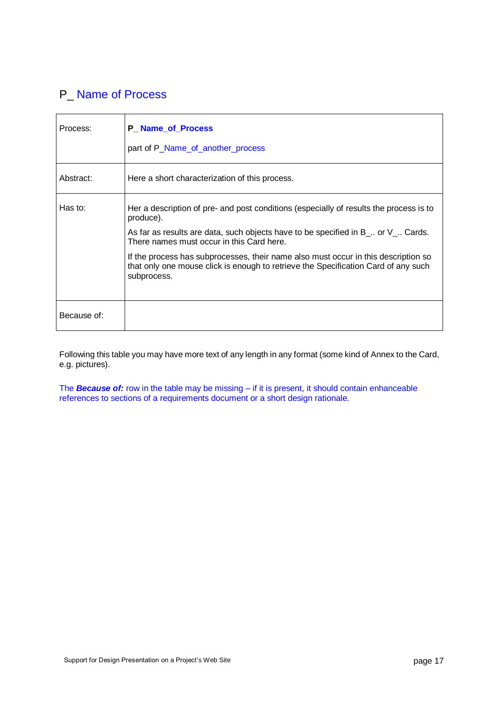# P<sub>\_</sub> Name of Process

| Process:    | <b>P_Name_of_Process</b><br>part of P_Name_of_another_process                                                                                                                                                                                                                                                                      |
|-------------|------------------------------------------------------------------------------------------------------------------------------------------------------------------------------------------------------------------------------------------------------------------------------------------------------------------------------------|
| Abstract:   | Here a short characterization of this process.                                                                                                                                                                                                                                                                                     |
| Has to:     | Her a description of pre- and post conditions (especially of results the process is to<br>produce).<br>As far as results are data, such objects have to be specified in $B_$ . or $V_$ . Cards.<br>There names must occur in this Card here.<br>If the process has subprocesses, their name also must occur in this description so |
|             | that only one mouse click is enough to retrieve the Specification Card of any such<br>subprocess.                                                                                                                                                                                                                                  |
| Because of: |                                                                                                                                                                                                                                                                                                                                    |

Following this table you may have more text of any length in any format (some kind of Annex to the Card, e.g. pictures).

The *Because of:* row in the table may be missing – if it is present, it should contain enhanceable references to sections of a requirements document or a short design rationale.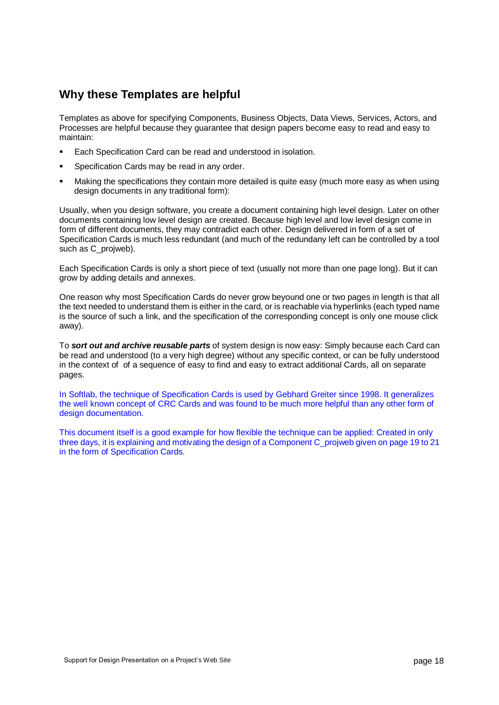# **Why these Templates are helpful**

Templates as above for specifying Components, Business Objects, Data Views, Services, Actors, and Processes are helpful because they guarantee that design papers become easy to read and easy to maintain:

- Each Specification Card can be read and understood in isolation.
- Specification Cards may be read in any order.
- Making the specifications they contain more detailed is quite easy (much more easy as when using design documents in any traditional form):

Usually, when you design software, you create a document containing high level design. Later on other documents containing low level design are created. Because high level and low level design come in form of different documents, they may contradict each other. Design delivered in form of a set of Specification Cards is much less redundant (and much of the redundany left can be controlled by a tool such as C\_projweb).

Each Specification Cards is only a short piece of text (usually not more than one page long). But it can grow by adding details and annexes.

One reason why most Specification Cards do never grow beyound one or two pages in length is that all the text needed to understand them is either in the card, or is reachable via hyperlinks (each typed name is the source of such a link, and the specification of the corresponding concept is only one mouse click away).

To *sort out and archive reusable parts* of system design is now easy: Simply because each Card can be read and understood (to a very high degree) without any specific context, or can be fully understood in the context of of a sequence of easy to find and easy to extract additional Cards, all on separate pages.

In Softlab, the technique of Specification Cards is used by Gebhard Greiter since 1998. It generalizes the well known concept of CRC Cards and was found to be much more helpful than any other form of design documentation.

This document itself is a good example for how flexible the technique can be applied: Created in only three days, it is explaining and motivating the design of a Component C\_projweb given on page 19 to 21 in the form of Specification Cards.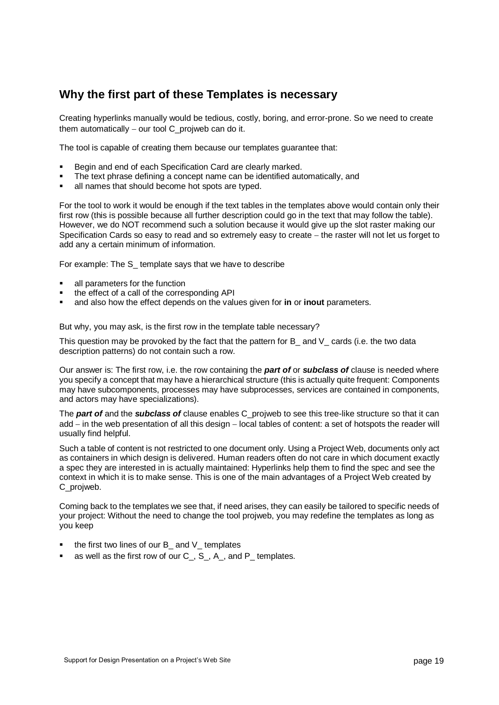### **Why the first part of these Templates is necessary**

Creating hyperlinks manually would be tedious, costly, boring, and error-prone. So we need to create them automatically  $-$  our tool C\_projweb can do it.

The tool is capable of creating them because our templates guarantee that:

- Begin and end of each Specification Card are clearly marked.
- The text phrase defining a concept name can be identified automatically, and
- all names that should become hot spots are typed.

For the tool to work it would be enough if the text tables in the templates above would contain only their first row (this is possible because all further description could go in the text that may follow the table). However, we do NOT recommend such a solution because it would give up the slot raster making our Specification Cards so easy to read and so extremely easy to create – the raster will not let us forget to add any a certain minimum of information.

For example: The S\_ template says that we have to describe

- all parameters for the function
- the effect of a call of the corresponding API
- and also how the effect depends on the values given for **in** or **inout** parameters.

But why, you may ask, is the first row in the template table necessary?

This question may be provoked by the fact that the pattern for B\_ and V\_ cards (i.e. the two data description patterns) do not contain such a row.

Our answer is: The first row, i.e. the row containing the *part of* or *subclass of* clause is needed where you specify a concept that may have a hierarchical structure (this is actually quite frequent: Components may have subcomponents, processes may have subprocesses, services are contained in components, and actors may have specializations).

The *part of* and the *subclass of* clause enables C\_projweb to see this tree-like structure so that it can add  $-$  in the web presentation of all this design  $-$  local tables of content: a set of hotspots the reader will usually find helpful.

Such a table of content is not restricted to one document only. Using a Project Web, documents only act as containers in which design is delivered. Human readers often do not care in which document exactly a spec they are interested in is actually maintained: Hyperlinks help them to find the spec and see the context in which it is to make sense. This is one of the main advantages of a Project Web created by C\_projweb.

Coming back to the templates we see that, if need arises, they can easily be tailored to specific needs of your project: Without the need to change the tool projweb, you may redefine the templates as long as you keep

- the first two lines of our B\_ and V\_ templates
- as well as the first row of our C . S . A . and P templates.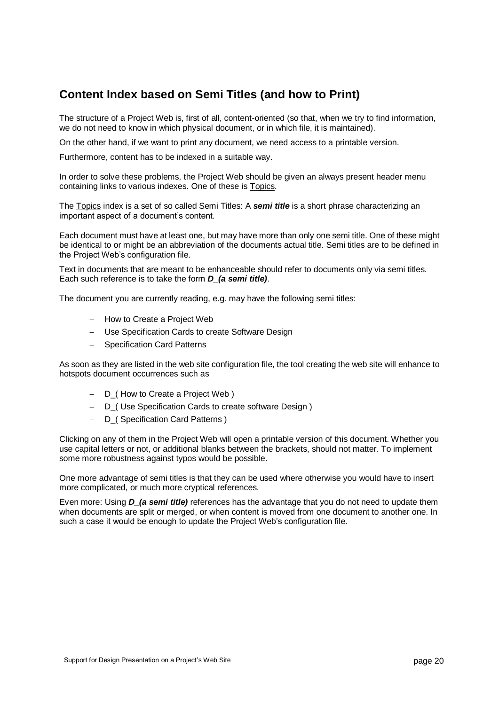# **Content Index based on Semi Titles (and how to Print)**

The structure of a Project Web is, first of all, content-oriented (so that, when we try to find information, we do not need to know in which physical document, or in which file, it is maintained).

On the other hand, if we want to print any document, we need access to a printable version.

Furthermore, content has to be indexed in a suitable way.

In order to solve these problems, the Project Web should be given an always present header menu containing links to various indexes. One of these is Topics.

The Topics index is a set of so called Semi Titles: A *semi title* is a short phrase characterizing an important aspect of a document's content.

Each document must have at least one, but may have more than only one semi title. One of these might be identical to or might be an abbreviation of the documents actual title. Semi titles are to be defined in the Project Web's configuration file.

Text in documents that are meant to be enhanceable should refer to documents only via semi titles. Each such reference is to take the form *D\_(a semi title)*.

The document you are currently reading, e.g. may have the following semi titles:

- How to Create a Project Web
- Use Specification Cards to create Software Design
- Specification Card Patterns

As soon as they are listed in the web site configuration file, the tool creating the web site will enhance to hotspots document occurrences such as

- $-D$  (How to Create a Project Web)
- D<sub>-</sub>( Use Specification Cards to create software Design )
- D (Specification Card Patterns )

Clicking on any of them in the Project Web will open a printable version of this document. Whether you use capital letters or not, or additional blanks between the brackets, should not matter. To implement some more robustness against typos would be possible.

One more advantage of semi titles is that they can be used where otherwise you would have to insert more complicated, or much more cryptical references.

Even more: Using *D\_(a semi title)* references has the advantage that you do not need to update them when documents are split or merged, or when content is moved from one document to another one. In such a case it would be enough to update the Project Web's configuration file.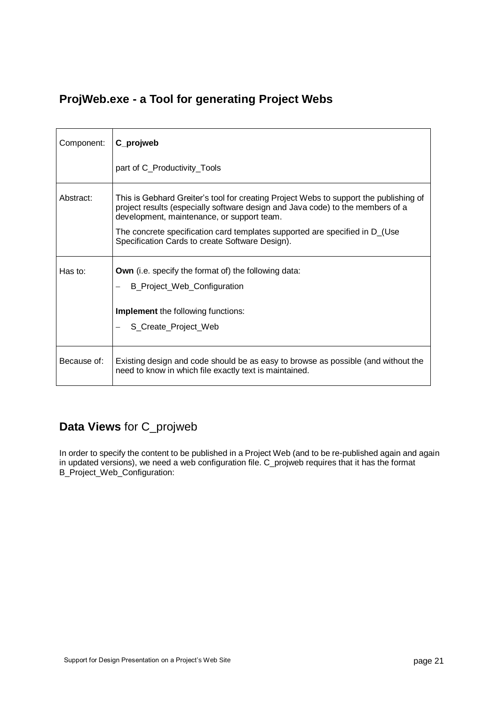# **ProjWeb.exe - a Tool for generating Project Webs**

| Component:  | C_projweb                                                                                                                                                                                                             |
|-------------|-----------------------------------------------------------------------------------------------------------------------------------------------------------------------------------------------------------------------|
|             | part of C_Productivity_Tools                                                                                                                                                                                          |
| Abstract:   | This is Gebhard Greiter's tool for creating Project Webs to support the publishing of<br>project results (especially software design and Java code) to the members of a<br>development, maintenance, or support team. |
|             | The concrete specification card templates supported are specified in D_(Use<br>Specification Cards to create Software Design).                                                                                        |
| Has to:     | <b>Own</b> (i.e. specify the format of) the following data:                                                                                                                                                           |
|             | B_Project_Web_Configuration                                                                                                                                                                                           |
|             | <b>Implement</b> the following functions:                                                                                                                                                                             |
|             | S_Create_Project_Web                                                                                                                                                                                                  |
| Because of: | Existing design and code should be as easy to browse as possible (and without the<br>need to know in which file exactly text is maintained.                                                                           |

# **Data Views** for C\_projweb

In order to specify the content to be published in a Project Web (and to be re-published again and again in updated versions), we need a web configuration file. C\_projweb requires that it has the format B\_Project\_Web\_Configuration: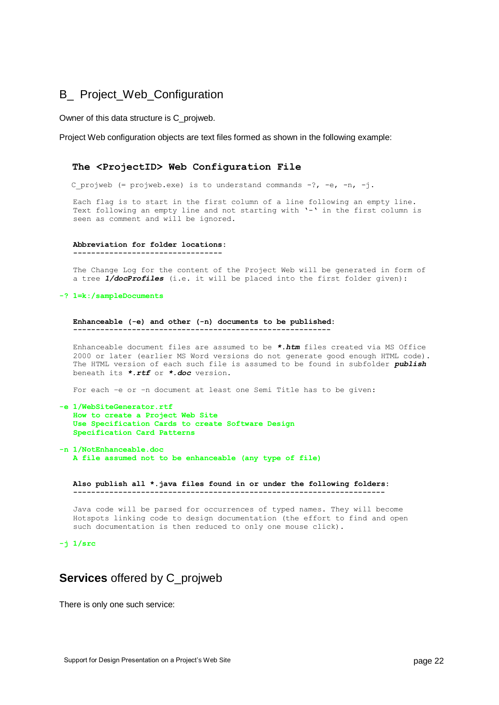### B\_ Project\_Web\_Configuration

Owner of this data structure is C\_projweb.

Project Web configuration objects are text files formed as shown in the following example:

#### **The <ProjectID> Web Configuration File**

C projweb (= projweb.exe) is to understand commands  $-?, -e, -n, -j$ .

 Each flag is to start in the first column of a line following an empty line. Text following an empty line and not starting with '-' in the first column is seen as comment and will be ignored.

#### **Abbreviation for folder locations:**

 **---------------------------------**

 The Change Log for the content of the Project Web will be generated in form of a tree *1/docProfiles* (i.e. it will be placed into the first folder given):

#### **-? 1=k:/sampleDocuments**

 **Enhanceable (-e) and other (-n) documents to be published: ---------------------------------------------------------**

 Enhanceable document files are assumed to be *\*.htm* files created via MS Office 2000 or later (earlier MS Word versions do not generate good enough HTML code). The HTML version of each such file is assumed to be found in subfolder *publish* beneath its *\*.rtf* or *\*.doc* version.

For each –e or –n document at least one Semi Title has to be given:

#### **-e 1/WebSiteGenerator.rtf How to create a Project Web Site Use Specification Cards to create Software Design Specification Card Patterns**

**-n 1/NotEnhanceable.doc A file assumed not to be enhanceable (any type of file)**

 **Also publish all \*.java files found in or under the following folders: ---------------------------------------------------------------------**

 Java code will be parsed for occurrences of typed names. They will become Hotspots linking code to design documentation (the effort to find and open such documentation is then reduced to only one mouse click).

#### **-j 1/src**

### **Services** offered by C\_projweb

There is only one such service: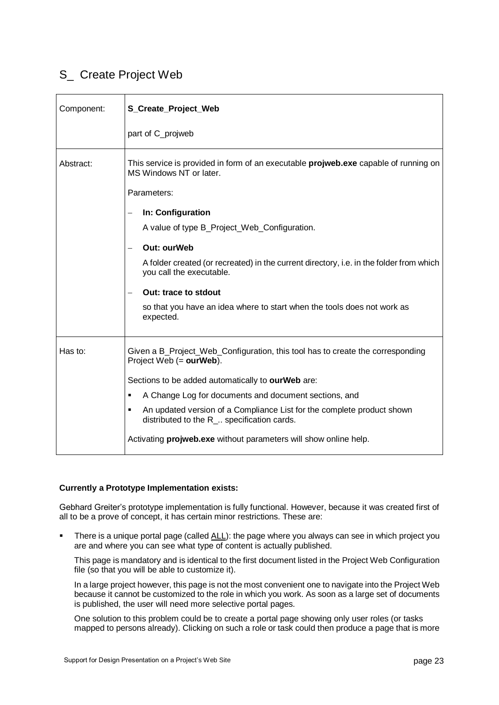# S\_ Create Project Web

| Component: | S_Create_Project_Web                                                                                                                 |
|------------|--------------------------------------------------------------------------------------------------------------------------------------|
|            | part of C_projweb                                                                                                                    |
| Abstract:  | This service is provided in form of an executable <b>projweb.exe</b> capable of running on<br>MS Windows NT or later.<br>Parameters: |
|            | In: Configuration<br>$\overline{\phantom{0}}$                                                                                        |
|            | A value of type B_Project_Web_Configuration.                                                                                         |
|            | <b>Out: ourWeb</b>                                                                                                                   |
|            | A folder created (or recreated) in the current directory, i.e. in the folder from which<br>you call the executable.                  |
|            | <b>Out: trace to stdout</b>                                                                                                          |
|            | so that you have an idea where to start when the tools does not work as<br>expected.                                                 |
| Has to:    | Given a B_Project_Web_Configuration, this tool has to create the corresponding<br>Project Web (= ourWeb).                            |
|            | Sections to be added automatically to ourWeb are:                                                                                    |
|            | A Change Log for documents and document sections, and<br>٠                                                                           |
|            | An updated version of a Compliance List for the complete product shown<br>٠<br>distributed to the R_ specification cards.            |
|            | Activating <b>projweb.exe</b> without parameters will show online help.                                                              |

#### **Currently a Prototype Implementation exists:**

Gebhard Greiter's prototype implementation is fully functional. However, because it was created first of all to be a prove of concept, it has certain minor restrictions. These are:

 There is a unique portal page (called ALL): the page where you always can see in which project you are and where you can see what type of content is actually published.

This page is mandatory and is identical to the first document listed in the Project Web Configuration file (so that you will be able to customize it).

In a large project however, this page is not the most convenient one to navigate into the Project Web because it cannot be customized to the role in which you work. As soon as a large set of documents is published, the user will need more selective portal pages.

One solution to this problem could be to create a portal page showing only user roles (or tasks mapped to persons already). Clicking on such a role or task could then produce a page that is more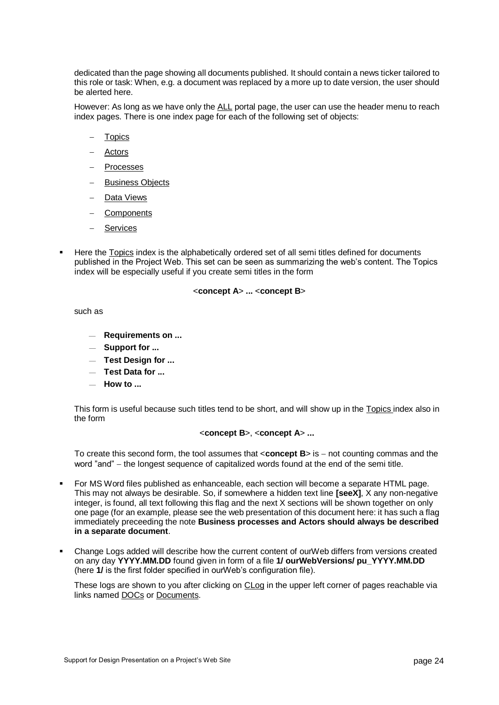dedicated than the page showing all documents published. It should contain a news ticker tailored to this role or task: When, e.g. a document was replaced by a more up to date version, the user should be alerted here.

However: As long as we have only the ALL portal page, the user can use the header menu to reach index pages. There is one index page for each of the following set of objects:

- **Topics**
- Actors
- Processes
- Business Objects
- Data Views
- Components
- Services
- Here the Topics index is the alphabetically ordered set of all semi titles defined for documents published in the Project Web. This set can be seen as summarizing the web's content. The Topics index will be especially useful if you create semi titles in the form

#### <**concept A**> **...** <**concept B**>

such as

- **Requirements on ...**
- **Support for ...**
- **Test Design for ...**
- **Test Data for ...**
- **How to ...**

This form is useful because such titles tend to be short, and will show up in the Topics index also in the form

#### <**concept B**>, <**concept A**> **...**

To create this second form, the tool assumes that <**concept B**> is  $-$  not counting commas and the word "and" – the longest sequence of capitalized words found at the end of the semi title.

- For MS Word files published as enhanceable, each section will become a separate HTML page. This may not always be desirable. So, if somewhere a hidden text line **[seeX]**, X any non-negative integer, is found, all text following this flag and the next X sections will be shown together on only one page (for an example, please see the web presentation of this document here: it has such a flag immediately preceeding the note **Business processes and Actors should always be described in a separate document**.
- Change Logs added will describe how the current content of ourWeb differs from versions created on any day **YYYY.MM.DD** found given in form of a file **1/ ourWebVersions/ pu\_YYYY.MM.DD**  (here **1/** is the first folder specified in ourWeb's configuration file).

These logs are shown to you after clicking on CLog in the upper left corner of pages reachable via links named DOCs or Documents.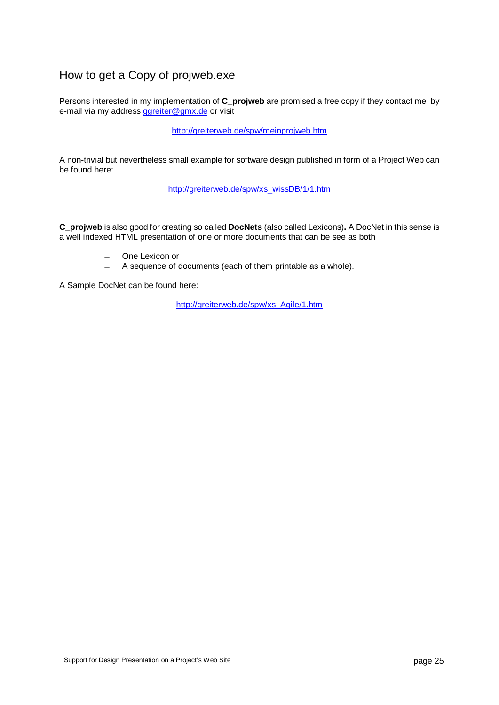# How to get a Copy of projweb.exe

Persons interested in my implementation of **C\_projweb** are promised a free copy if they contact me by e-mail via my address [ggreiter@gmx.de](mailto:ggreiter@gmx.de) or visit

[http://greiterweb.de/spw/meinprojweb.htm](http://www.greiterweb.de/spw/meinprojweb.hrm)

A non-trivial but nevertheless small example for software design published in form of a Project Web can be found here:

[http://greiterweb.de/spw/xs\\_wissDB/1/1.htm](http://www.greiterweb.de/spw/xs_wissDB/1/1.htm)

**C\_projweb** is also good for creating so called **DocNets** (also called Lexicons)**.** A DocNet in this sense is a well indexed HTML presentation of one or more documents that can be see as both

- One Lexicon or
- A sequence of documents (each of them printable as a whole).

A Sample DocNet can be found here:

[http://greiterweb.de/spw/xs\\_Agile/1.htm](http://greiterweb.de/spw/xs_Agile/1.htm)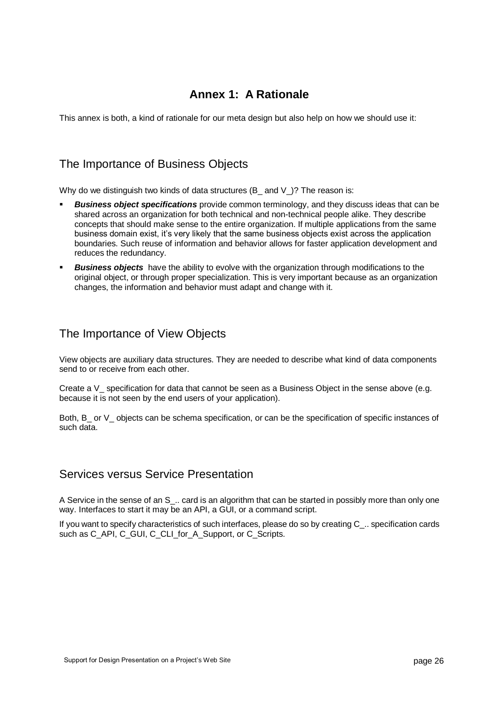# **Annex 1: A Rationale**

This annex is both, a kind of rationale for our meta design but also help on how we should use it:

### The Importance of Business Objects

Why do we distinguish two kinds of data structures (B\_ and V\_)? The reason is:

- *Business object specifications* provide common terminology, and they discuss ideas that can be shared across an organization for both technical and non-technical people alike. They describe concepts that should make sense to the entire organization. If multiple applications from the same business domain exist, it's very likely that the same business objects exist across the application boundaries. Such reuse of information and behavior allows for faster application development and reduces the redundancy.
- *Business objects* have the ability to evolve with the organization through modifications to the original object, or through proper specialization. This is very important because as an organization changes, the information and behavior must adapt and change with it.

### The Importance of View Objects

View objects are auxiliary data structures. They are needed to describe what kind of data components send to or receive from each other.

Create a V specification for data that cannot be seen as a Business Object in the sense above (e.g. because it is not seen by the end users of your application).

Both, B or V objects can be schema specification, or can be the specification of specific instances of such data.

### Services versus Service Presentation

A Service in the sense of an S .. card is an algorithm that can be started in possibly more than only one way. Interfaces to start it may be an API, a GUI, or a command script.

If you want to specify characteristics of such interfaces, please do so by creating C\_.. specification cards such as C\_API, C\_GUI, C\_CLI\_for\_A\_Support, or C\_Scripts.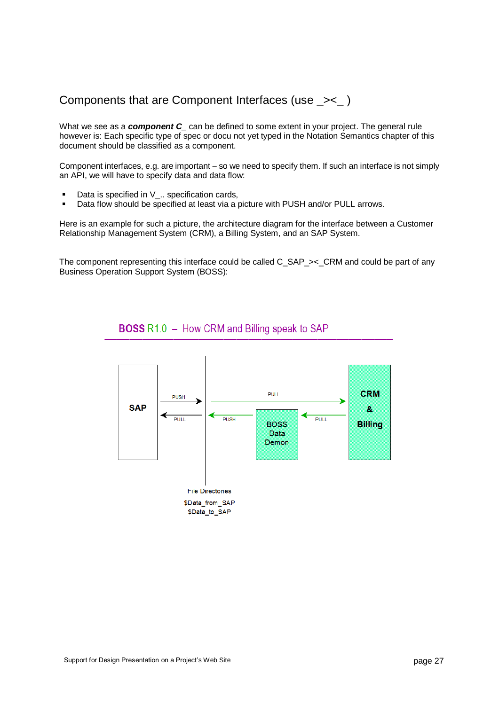# Components that are Component Interfaces (use \_><\_ )

What we see as a *component C* can be defined to some extent in your project. The general rule however is: Each specific type of spec or docu not yet typed in the Notation Semantics chapter of this document should be classified as a component.

Component interfaces, e.g. are important – so we need to specify them. If such an interface is not simply an API, we will have to specify data and data flow:

- Data is specified in V\_.. specification cards,
- **Data flow should be specified at least via a picture with PUSH and/or PULL arrows.**

Here is an example for such a picture, the architecture diagram for the interface between a Customer Relationship Management System (CRM), a Billing System, and an SAP System.

The component representing this interface could be called C\_SAP\_><\_CRM and could be part of any Business Operation Support System (BOSS):

### **BOSS R1.0 - How CRM and Billing speak to SAP**

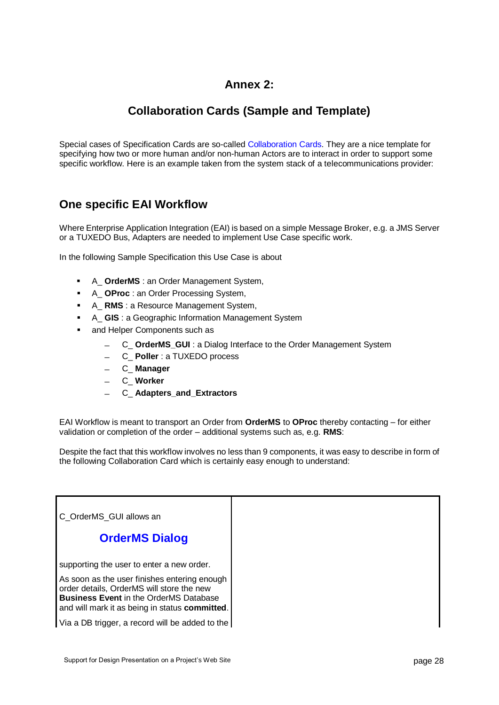# **Annex 2:**

# **Collaboration Cards (Sample and Template)**

Special cases of Specification Cards are so-called Collaboration Cards. They are a nice template for specifying how two or more human and/or non-human Actors are to interact in order to support some specific workflow. Here is an example taken from the system stack of a telecommunications provider:

# **One specific EAI Workflow**

Where Enterprise Application Integration (EAI) is based on a simple Message Broker, e.g. a JMS Server or a TUXEDO Bus, Adapters are needed to implement Use Case specific work.

In the following Sample Specification this Use Case is about

- A\_ **OrderMS** : an Order Management System,
- A\_ **OProc** : an Order Processing System,
- A\_ **RMS** : a Resource Management System,
- A\_ **GIS** : a Geographic Information Management System
- and Helper Components such as
	- C\_ **OrderMS\_GUI** : a Dialog Interface to the Order Management System
	- C\_ **Poller** : a TUXEDO process
	- C\_ **Manager**
	- C\_ **Worker**
	- C\_ **Adapters\_and\_Extractors**

EAI Workflow is meant to transport an Order from **OrderMS** to **OProc** thereby contacting – for either validation or completion of the order – additional systems such as, e.g. **RMS**:

Despite the fact that this workflow involves no less than 9 components, it was easy to describe in form of the following Collaboration Card which is certainly easy enough to understand:

C\_OrderMS\_GUI allows an

### **OrderMS Dialog**

supporting the user to enter a new order.

As soon as the user finishes entering enough order details, OrderMS will store the new **Business Event** in the OrderMS Database and will mark it as being in status **committed**.

Via a DB trigger, a record will be added to the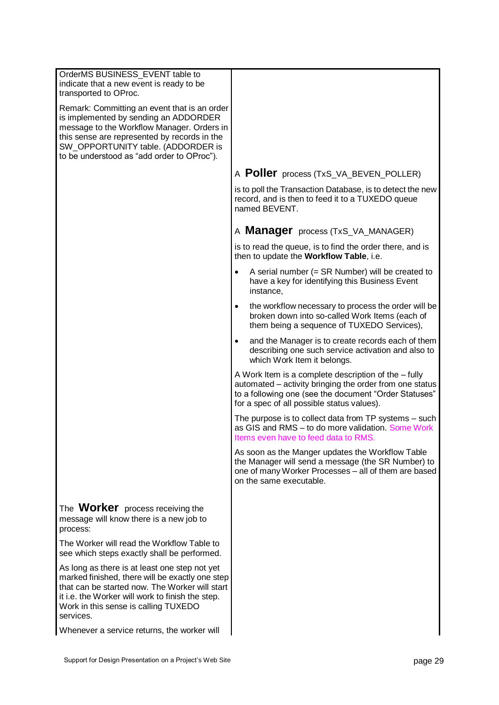